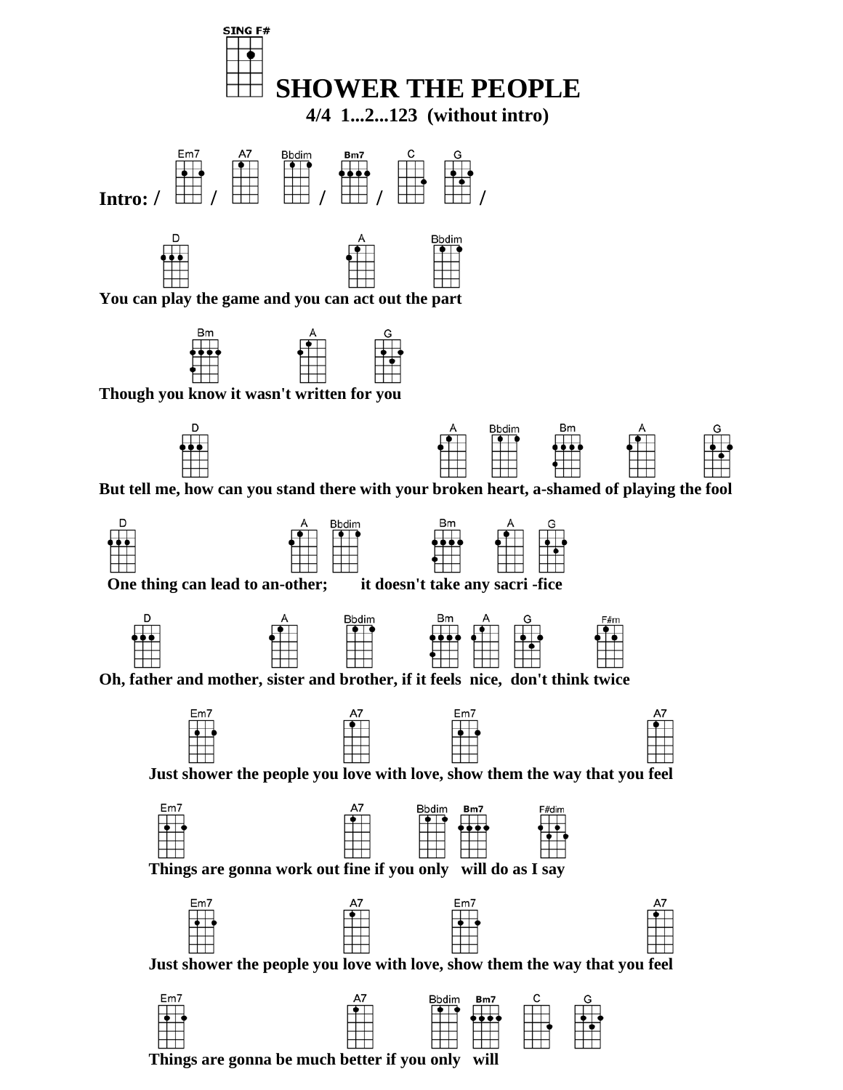



 **Though you know it wasn't written for you** 



 **But tell me, how can you stand there with your broken heart, a-shamed of playing the fool** 









 **Just shower the people you love with love, show them the way that you feel** 



 **Things are gonna work out fine if you only will do as I say**



 **Just shower the people you love with love, show them the way that you feel** 



 **Things are gonna be much better if you only will**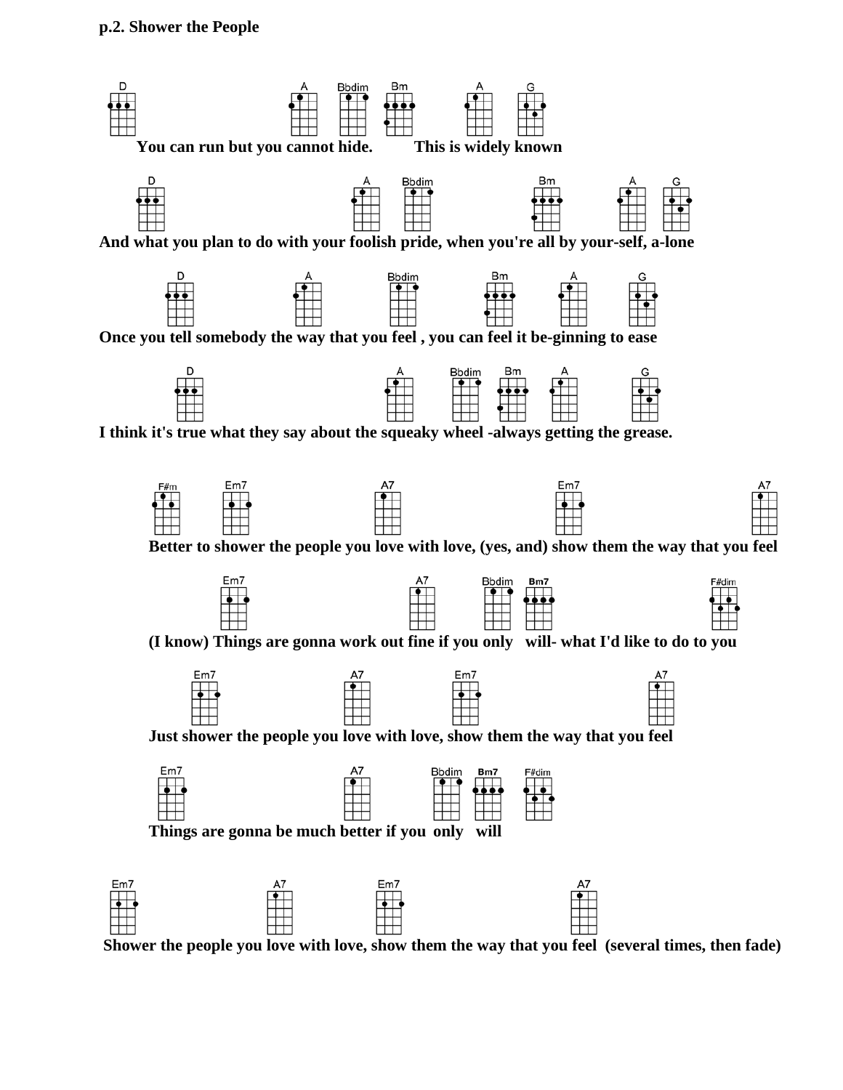

 **Shower the people you love with love, show them the way that you feel (several times, then fade)**